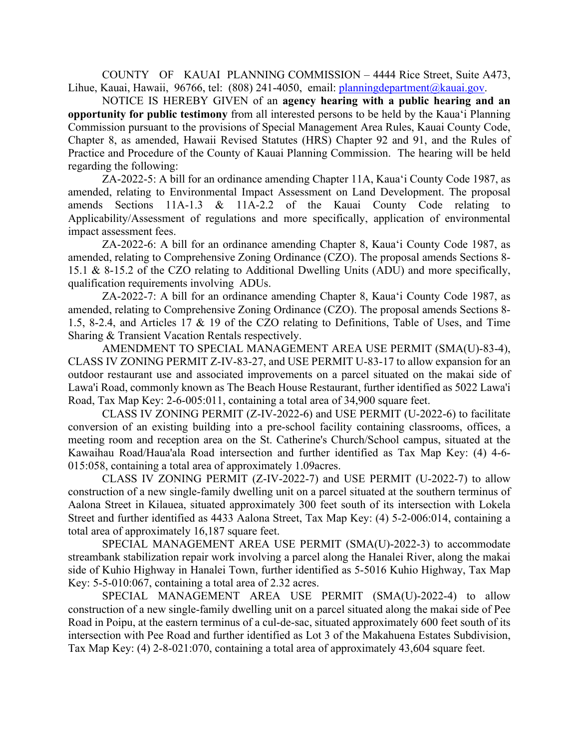COUNTY OF KAUAI PLANNING COMMISSION – 4444 Rice Street, Suite A473, Lihue, Kauai, Hawaii, 96766, tel: (808) 241-4050, email: [planningdepartment@kauai.gov.](mailto:planningdepartment@kauai.gov)

NOTICE IS HEREBY GIVEN of an **agency hearing with a public hearing and an opportunity for public testimony** from all interested persons to be held by the Kaua'i Planning Commission pursuant to the provisions of Special Management Area Rules, Kauai County Code, Chapter 8, as amended, Hawaii Revised Statutes (HRS) Chapter 92 and 91, and the Rules of Practice and Procedure of the County of Kauai Planning Commission. The hearing will be held regarding the following:

ZA-2022-5: A bill for an ordinance amending Chapter 11A, Kaua'i County Code 1987, as amended, relating to Environmental Impact Assessment on Land Development. The proposal amends Sections 11A-1.3 & 11A-2.2 of the Kauai County Code relating to Applicability/Assessment of regulations and more specifically, application of environmental impact assessment fees.

ZA-2022-6: A bill for an ordinance amending Chapter 8, Kaua'i County Code 1987, as amended, relating to Comprehensive Zoning Ordinance (CZO). The proposal amends Sections 8- 15.1 & 8-15.2 of the CZO relating to Additional Dwelling Units (ADU) and more specifically, qualification requirements involving ADUs.

ZA-2022-7: A bill for an ordinance amending Chapter 8, Kaua'i County Code 1987, as amended, relating to Comprehensive Zoning Ordinance (CZO). The proposal amends Sections 8- 1.5, 8-2.4, and Articles 17 & 19 of the CZO relating to Definitions, Table of Uses, and Time Sharing & Transient Vacation Rentals respectively.

AMENDMENT TO SPECIAL MANAGEMENT AREA USE PERMIT (SMA(U)-83-4), CLASS IV ZONING PERMIT Z-IV-83-27, and USE PERMIT U-83-17 to allow expansion for an outdoor restaurant use and associated improvements on a parcel situated on the makai side of Lawa'i Road, commonly known as The Beach House Restaurant, further identified as 5022 Lawa'i Road, Tax Map Key: 2-6-005:011, containing a total area of 34,900 square feet.

CLASS IV ZONING PERMIT (Z-IV-2022-6) and USE PERMIT (U-2022-6) to facilitate conversion of an existing building into a pre-school facility containing classrooms, offices, a meeting room and reception area on the St. Catherine's Church/School campus, situated at the Kawaihau Road/Haua'ala Road intersection and further identified as Tax Map Key: (4) 4-6- 015:058, containing a total area of approximately 1.09acres.

CLASS IV ZONING PERMIT (Z-IV-2022-7) and USE PERMIT (U-2022-7) to allow construction of a new single-family dwelling unit on a parcel situated at the southern terminus of Aalona Street in Kilauea, situated approximately 300 feet south of its intersection with Lokela Street and further identified as 4433 Aalona Street, Tax Map Key: (4) 5-2-006:014, containing a total area of approximately 16,187 square feet.

SPECIAL MANAGEMENT AREA USE PERMIT (SMA(U)-2022-3) to accommodate streambank stabilization repair work involving a parcel along the Hanalei River, along the makai side of Kuhio Highway in Hanalei Town, further identified as 5-5016 Kuhio Highway, Tax Map Key: 5-5-010:067, containing a total area of 2.32 acres.

SPECIAL MANAGEMENT AREA USE PERMIT (SMA(U)-2022-4) to allow construction of a new single-family dwelling unit on a parcel situated along the makai side of Pee Road in Poipu, at the eastern terminus of a cul-de-sac, situated approximately 600 feet south of its intersection with Pee Road and further identified as Lot 3 of the Makahuena Estates Subdivision, Tax Map Key: (4) 2-8-021:070, containing a total area of approximately 43,604 square feet.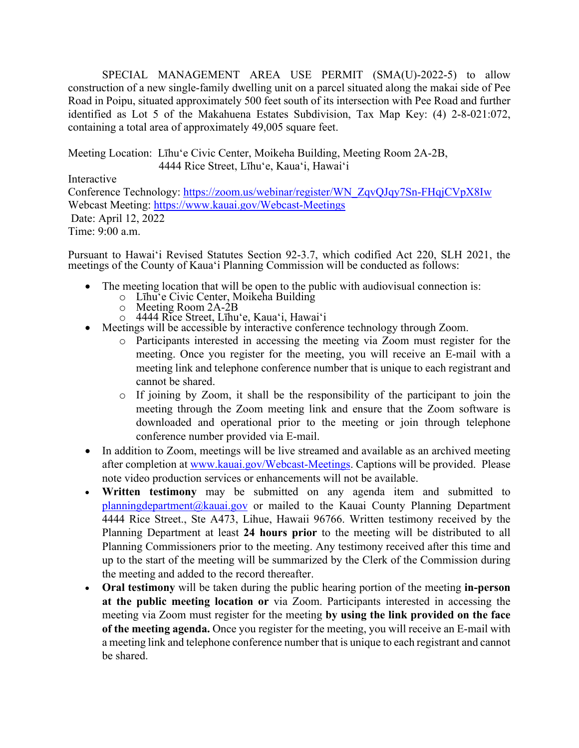SPECIAL MANAGEMENT AREA USE PERMIT (SMA(U)-2022-5) to allow construction of a new single-family dwelling unit on a parcel situated along the makai side of Pee Road in Poipu, situated approximately 500 feet south of its intersection with Pee Road and further identified as Lot 5 of the Makahuena Estates Subdivision, Tax Map Key: (4) 2-8-021:072, containing a total area of approximately 49,005 square feet.

Meeting Location: Līhu'e Civic Center, Moikeha Building, Meeting Room 2A-2B, 4444 Rice Street, Līhu'e, Kaua'i, Hawai'i

Interactive

Conference Technology: [https://zoom.us/webinar/register/WN\\_ZqvQJqy7Sn-FHqjCVpX8Iw](https://zoom.us/webinar/register/WN_ZqvQJqy7Sn-FHqjCVpX8Iw) Webcast Meeting: <https://www.kauai.gov/Webcast-Meetings> Date: April 12, 2022 Time: 9:00 a.m.

Pursuant to Hawai'i Revised Statutes Section 92-3.7, which codified Act 220, SLH 2021, the meetings of the County of Kaua'i Planning Commission will be conducted as follows:

- The meeting location that will be open to the public with audiovisual connection is:
	- o Līhu'e Civic Center, Moikeha Building
	-
	- o Meeting Room 2A-2B<br>○ 4444 Rice Street, Līhu'e, Kaua'i, Hawai'i
- Meetings will be accessible by interactive conference technology through Zoom.
	- o Participants interested in accessing the meeting via Zoom must register for the meeting. Once you register for the meeting, you will receive an E-mail with a meeting link and telephone conference number that is unique to each registrant and cannot be shared.
	- o If joining by Zoom, it shall be the responsibility of the participant to join the meeting through the Zoom meeting link and ensure that the Zoom software is downloaded and operational prior to the meeting or join through telephone conference number provided via E-mail.
- In addition to Zoom, meetings will be live streamed and available as an archived meeting after completion at [www.kauai.gov/Webcast-Meetings.](http://www.kauai.gov/Webcast-Meetings) Captions will be provided. Please note video production services or enhancements will not be available.
- **Written testimony** may be submitted on any agenda item and submitted to [planningdepartment@kauai.gov](mailto:planningdepartment@kauai.gov) or mailed to the Kauai County Planning Department 4444 Rice Street., Ste A473, Lihue, Hawaii 96766. Written testimony received by the Planning Department at least **24 hours prior** to the meeting will be distributed to all Planning Commissioners prior to the meeting. Any testimony received after this time and up to the start of the meeting will be summarized by the Clerk of the Commission during the meeting and added to the record thereafter.
- **Oral testimony** will be taken during the public hearing portion of the meeting **in-person at the public meeting location or** via Zoom. Participants interested in accessing the meeting via Zoom must register for the meeting **by using the link provided on the face of the meeting agenda.** Once you register for the meeting, you will receive an E-mail with a meeting link and telephone conference number that is unique to each registrant and cannot be shared.